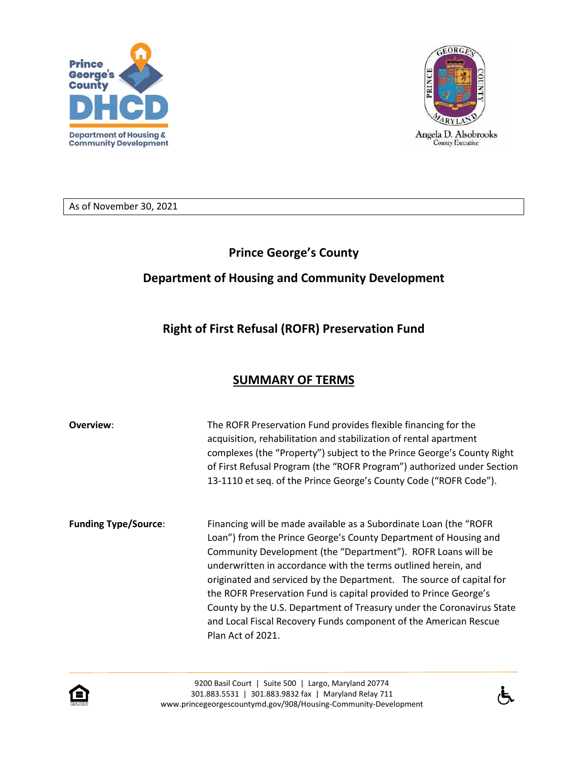



As of November 30, 2021

## **Prince George's County**

## **Department of Housing and Community Development**

## **Right of First Refusal (ROFR) Preservation Fund**

## **SUMMARY OF TERMS**

| Overview:                   | The ROFR Preservation Fund provides flexible financing for the<br>acquisition, rehabilitation and stabilization of rental apartment<br>complexes (the "Property") subject to the Prince George's County Right<br>of First Refusal Program (the "ROFR Program") authorized under Section<br>13-1110 et seq. of the Prince George's County Code ("ROFR Code").                                                                                                                                                                                                                           |
|-----------------------------|----------------------------------------------------------------------------------------------------------------------------------------------------------------------------------------------------------------------------------------------------------------------------------------------------------------------------------------------------------------------------------------------------------------------------------------------------------------------------------------------------------------------------------------------------------------------------------------|
| <b>Funding Type/Source:</b> | Financing will be made available as a Subordinate Loan (the "ROFR<br>Loan") from the Prince George's County Department of Housing and<br>Community Development (the "Department"). ROFR Loans will be<br>underwritten in accordance with the terms outlined herein, and<br>originated and serviced by the Department. The source of capital for<br>the ROFR Preservation Fund is capital provided to Prince George's<br>County by the U.S. Department of Treasury under the Coronavirus State<br>and Local Fiscal Recovery Funds component of the American Rescue<br>Plan Act of 2021. |



9200 Basil Court | Suite 500 | Largo, Maryland 20774 301.883.5531 | 301.883.9832 fax | Maryland Relay 711 www.princegeorgescountymd.gov/908/Housing-Community-Development

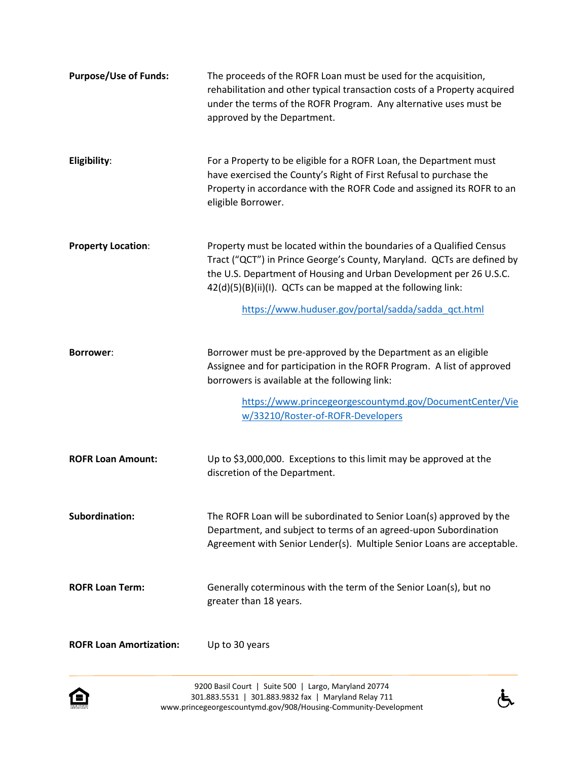| <b>Purpose/Use of Funds:</b>   | The proceeds of the ROFR Loan must be used for the acquisition,<br>rehabilitation and other typical transaction costs of a Property acquired<br>under the terms of the ROFR Program. Any alternative uses must be<br>approved by the Department.                                                                                             |
|--------------------------------|----------------------------------------------------------------------------------------------------------------------------------------------------------------------------------------------------------------------------------------------------------------------------------------------------------------------------------------------|
| Eligibility:                   | For a Property to be eligible for a ROFR Loan, the Department must<br>have exercised the County's Right of First Refusal to purchase the<br>Property in accordance with the ROFR Code and assigned its ROFR to an<br>eligible Borrower.                                                                                                      |
| <b>Property Location:</b>      | Property must be located within the boundaries of a Qualified Census<br>Tract ("QCT") in Prince George's County, Maryland. QCTs are defined by<br>the U.S. Department of Housing and Urban Development per 26 U.S.C.<br>42(d)(5)(B)(ii)(I). QCTs can be mapped at the following link:<br>https://www.huduser.gov/portal/sadda/sadda_qct.html |
| <b>Borrower:</b>               | Borrower must be pre-approved by the Department as an eligible<br>Assignee and for participation in the ROFR Program. A list of approved<br>borrowers is available at the following link:<br>https://www.princegeorgescountymd.gov/DocumentCenter/Vie<br>w/33210/Roster-of-ROFR-Developers                                                   |
| <b>ROFR Loan Amount:</b>       | Up to \$3,000,000. Exceptions to this limit may be approved at the<br>discretion of the Department.                                                                                                                                                                                                                                          |
| <b>Subordination:</b>          | The ROFR Loan will be subordinated to Senior Loan(s) approved by the<br>Department, and subject to terms of an agreed-upon Subordination<br>Agreement with Senior Lender(s). Multiple Senior Loans are acceptable.                                                                                                                           |
| <b>ROFR Loan Term:</b>         | Generally coterminous with the term of the Senior Loan(s), but no<br>greater than 18 years.                                                                                                                                                                                                                                                  |
| <b>ROFR Loan Amortization:</b> | Up to 30 years                                                                                                                                                                                                                                                                                                                               |



 $\dot{\mathbf{\Phi}}$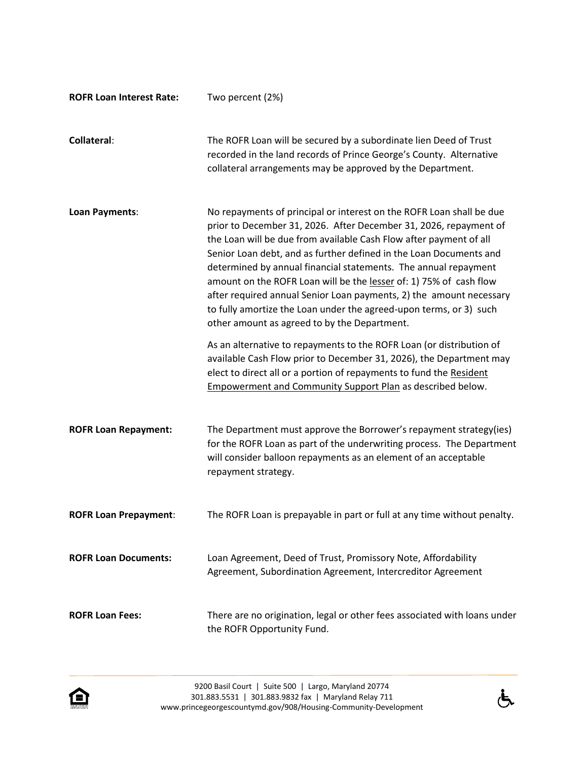| <b>ROFR Loan Interest Rate:</b> | Two percent (2%)                                                                                                                                                                                                                                                                                                                                                                                                                                                                                                                                                                                                            |
|---------------------------------|-----------------------------------------------------------------------------------------------------------------------------------------------------------------------------------------------------------------------------------------------------------------------------------------------------------------------------------------------------------------------------------------------------------------------------------------------------------------------------------------------------------------------------------------------------------------------------------------------------------------------------|
| <b>Collateral:</b>              | The ROFR Loan will be secured by a subordinate lien Deed of Trust<br>recorded in the land records of Prince George's County. Alternative<br>collateral arrangements may be approved by the Department.                                                                                                                                                                                                                                                                                                                                                                                                                      |
| Loan Payments:                  | No repayments of principal or interest on the ROFR Loan shall be due<br>prior to December 31, 2026. After December 31, 2026, repayment of<br>the Loan will be due from available Cash Flow after payment of all<br>Senior Loan debt, and as further defined in the Loan Documents and<br>determined by annual financial statements. The annual repayment<br>amount on the ROFR Loan will be the lesser of: 1) 75% of cash flow<br>after required annual Senior Loan payments, 2) the amount necessary<br>to fully amortize the Loan under the agreed-upon terms, or 3) such<br>other amount as agreed to by the Department. |
|                                 | As an alternative to repayments to the ROFR Loan (or distribution of<br>available Cash Flow prior to December 31, 2026), the Department may<br>elect to direct all or a portion of repayments to fund the Resident<br><b>Empowerment and Community Support Plan as described below.</b>                                                                                                                                                                                                                                                                                                                                     |
| <b>ROFR Loan Repayment:</b>     | The Department must approve the Borrower's repayment strategy(ies)<br>for the ROFR Loan as part of the underwriting process. The Department<br>will consider balloon repayments as an element of an acceptable<br>repayment strategy.                                                                                                                                                                                                                                                                                                                                                                                       |
| <b>ROFR Loan Prepayment:</b>    | The ROFR Loan is prepayable in part or full at any time without penalty.                                                                                                                                                                                                                                                                                                                                                                                                                                                                                                                                                    |
| <b>ROFR Loan Documents:</b>     | Loan Agreement, Deed of Trust, Promissory Note, Affordability<br>Agreement, Subordination Agreement, Intercreditor Agreement                                                                                                                                                                                                                                                                                                                                                                                                                                                                                                |
| <b>ROFR Loan Fees:</b>          | There are no origination, legal or other fees associated with loans under<br>the ROFR Opportunity Fund.                                                                                                                                                                                                                                                                                                                                                                                                                                                                                                                     |



 $\dot{\mathbf{f}}$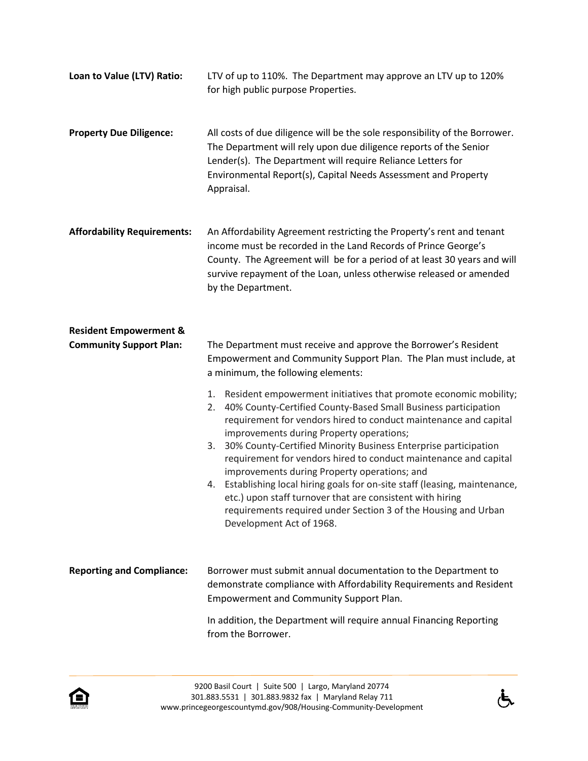| Loan to Value (LTV) Ratio:                                          | LTV of up to 110%. The Department may approve an LTV up to 120%<br>for high public purpose Properties.                                                                                                                                                                                                                                                                                                                                                                                                                                                                                                                                                                                                                                                                                                                                                                              |
|---------------------------------------------------------------------|-------------------------------------------------------------------------------------------------------------------------------------------------------------------------------------------------------------------------------------------------------------------------------------------------------------------------------------------------------------------------------------------------------------------------------------------------------------------------------------------------------------------------------------------------------------------------------------------------------------------------------------------------------------------------------------------------------------------------------------------------------------------------------------------------------------------------------------------------------------------------------------|
| <b>Property Due Diligence:</b>                                      | All costs of due diligence will be the sole responsibility of the Borrower.<br>The Department will rely upon due diligence reports of the Senior<br>Lender(s). The Department will require Reliance Letters for<br>Environmental Report(s), Capital Needs Assessment and Property<br>Appraisal.                                                                                                                                                                                                                                                                                                                                                                                                                                                                                                                                                                                     |
| <b>Affordability Requirements:</b>                                  | An Affordability Agreement restricting the Property's rent and tenant<br>income must be recorded in the Land Records of Prince George's<br>County. The Agreement will be for a period of at least 30 years and will<br>survive repayment of the Loan, unless otherwise released or amended<br>by the Department.                                                                                                                                                                                                                                                                                                                                                                                                                                                                                                                                                                    |
| <b>Resident Empowerment &amp;</b><br><b>Community Support Plan:</b> | The Department must receive and approve the Borrower's Resident<br>Empowerment and Community Support Plan. The Plan must include, at<br>a minimum, the following elements:<br>Resident empowerment initiatives that promote economic mobility;<br>1.<br>40% County-Certified County-Based Small Business participation<br>2.<br>requirement for vendors hired to conduct maintenance and capital<br>improvements during Property operations;<br>30% County-Certified Minority Business Enterprise participation<br>3.<br>requirement for vendors hired to conduct maintenance and capital<br>improvements during Property operations; and<br>4. Establishing local hiring goals for on-site staff (leasing, maintenance,<br>etc.) upon staff turnover that are consistent with hiring<br>requirements required under Section 3 of the Housing and Urban<br>Development Act of 1968. |
| <b>Reporting and Compliance:</b>                                    | Borrower must submit annual documentation to the Department to<br>demonstrate compliance with Affordability Requirements and Resident<br>Empowerment and Community Support Plan.                                                                                                                                                                                                                                                                                                                                                                                                                                                                                                                                                                                                                                                                                                    |
|                                                                     | In addition, the Department will require annual Financing Reporting<br>from the Borrower.                                                                                                                                                                                                                                                                                                                                                                                                                                                                                                                                                                                                                                                                                                                                                                                           |

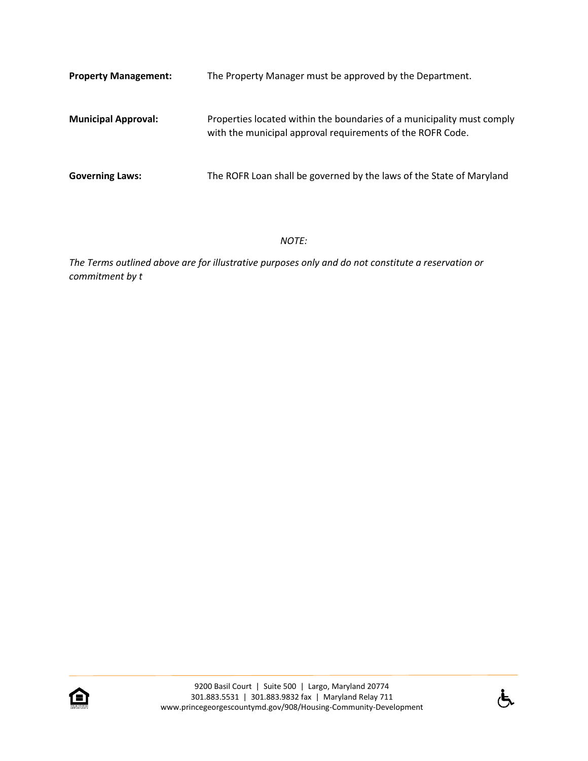| <b>Property Management:</b> | The Property Manager must be approved by the Department.                                                                             |
|-----------------------------|--------------------------------------------------------------------------------------------------------------------------------------|
| <b>Municipal Approval:</b>  | Properties located within the boundaries of a municipality must comply<br>with the municipal approval requirements of the ROFR Code. |
| <b>Governing Laws:</b>      | The ROFR Loan shall be governed by the laws of the State of Maryland                                                                 |

*NOTE:*

*The Terms outlined above are for illustrative purposes only and do not constitute a reservation or commitment by t*